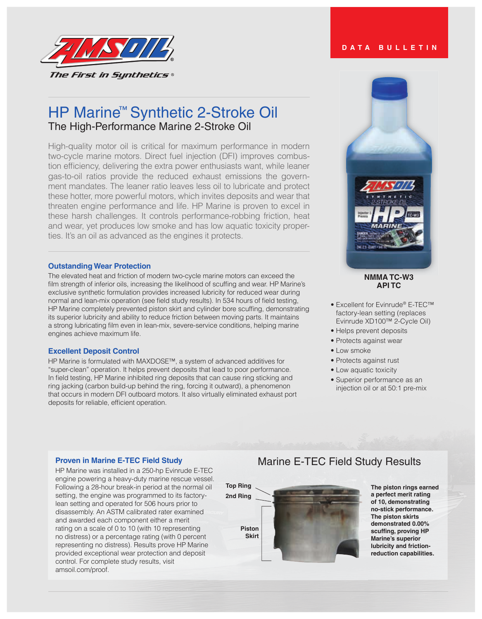

# HP Marine<sup>™</sup> Synthetic 2-Stroke Oil The High-Performance Marine 2-Stroke Oil

High-quality motor oil is critical for maximum performance in modern two-cycle marine motors. Direct fuel injection (DFI) improves combustion efficiency, delivering the extra power enthusiasts want, while leaner gas-to-oil ratios provide the reduced exhaust emissions the government mandates. The leaner ratio leaves less oil to lubricate and protect these hotter, more powerful motors, which invites deposits and wear that threaten engine performance and life. HP Marine is proven to excel in these harsh challenges. It controls performance-robbing friction, heat and wear, yet produces low smoke and has low aquatic toxicity properties. It's an oil as advanced as the engines it protects.

### **Outstanding Wear Protection**

The elevated heat and friction of modern two-cycle marine motors can exceed the film strength of inferior oils, increasing the likelihood of scuffing and wear. HP Marine's exclusive synthetic formulation provides increased lubricity for reduced wear during normal and lean-mix operation (see field study results). In 534 hours of field testing, HP Marine completely prevented piston skirt and cylinder bore scuffing, demonstrating its superior lubricity and ability to reduce friction between moving parts. It maintains a strong lubricating film even in lean-mix, severe-service conditions, helping marine engines achieve maximum life.

### **Excellent Deposit Control**

HP Marine is formulated with MAXDOSE™, a system of advanced additives for "super-clean" operation. It helps prevent deposits that lead to poor performance. In field testing, HP Marine inhibited ring deposits that can cause ring sticking and ring jacking (carbon build-up behind the ring, forcing it outward), a phenomenon that occurs in modern DFI outboard motors. It also virtually eliminated exhaust port deposits for reliable, efficient operation.

## **NMMA TC-W3 API TC**

- Excellent for Evinrude® E-TEC™ factory-lean setting (replaces Evinrude XD100™ 2-Cycle Oil)
- Helps prevent deposits
- Protects against wear
- Low smoke
- Protects against rust
- Low aquatic toxicity
- Superior performance as an injection oil or at 50:1 pre-mix

## **Proven in Marine E-TEC Field Study**

HP Marine was installed in a 250-hp Evinrude E-TEC engine powering a heavy-duty marine rescue vessel. Following a 28-hour break-in period at the normal oil setting, the engine was programmed to its factorylean setting and operated for 506 hours prior to disassembly. An ASTM calibrated rater examined and awarded each component either a merit rating on a scale of 0 to 10 (with 10 representing no distress) or a percentage rating (with 0 percent representing no distress). Results prove HP Marine provided exceptional wear protection and deposit control. For complete study results, visit amsoil.com/proof.

## Marine E-TEC Field Study Results



**The piston rings earned a perfect merit rating of 10, demonstrating no-stick performance. The piston skirts demonstrated 0.00% scuffing, proving HP Marine's superior lubricity and frictionreduction capabilities.**

## **DATA BULLETIN**